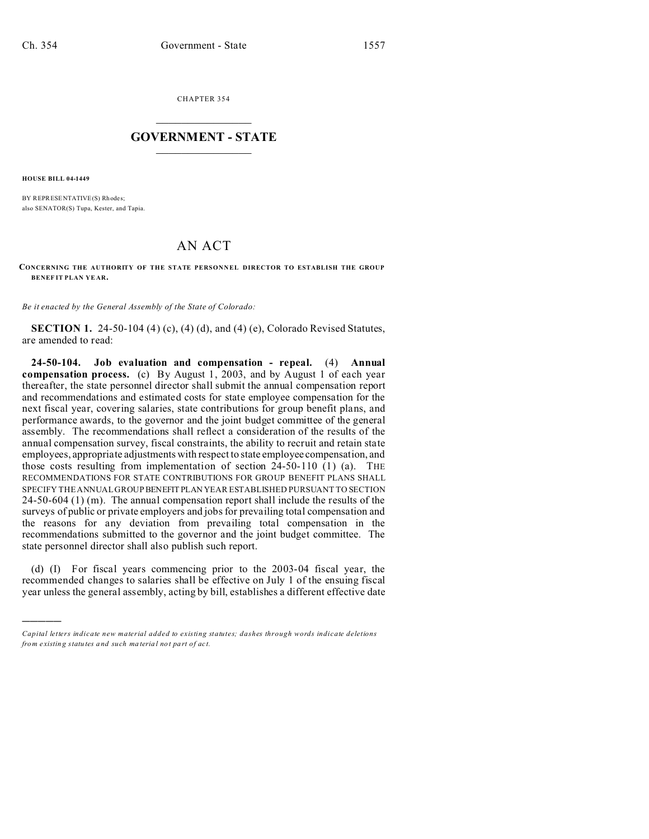CHAPTER 354  $\overline{\phantom{a}}$  , where  $\overline{\phantom{a}}$ 

## **GOVERNMENT - STATE**  $\_$   $\_$   $\_$   $\_$   $\_$   $\_$   $\_$   $\_$   $\_$

**HOUSE BILL 04-1449**

)))))

BY REPRESENTATIVE(S) Rhodes: also SENATOR(S) Tupa, Kester, and Tapia.

## AN ACT

**CONCERNING THE AUTHORITY OF THE STATE PERSONNEL DIRECTOR TO ESTABLISH THE GROUP BENEF IT PLAN YE AR.**

*Be it enacted by the General Assembly of the State of Colorado:*

**SECTION 1.** 24-50-104 (4) (c), (4) (d), and (4) (e), Colorado Revised Statutes, are amended to read:

**24-50-104. Job evaluation and compensation - repeal.** (4) **Annual compensation process.** (c) By August 1, 2003, and by August 1 of each year thereafter, the state personnel director shall submit the annual compensation report and recommendations and estimated costs for state employee compensation for the next fiscal year, covering salaries, state contributions for group benefit plans, and performance awards, to the governor and the joint budget committee of the general assembly. The recommendations shall reflect a consideration of the results of the annual compensation survey, fiscal constraints, the ability to recruit and retain state employees, appropriate adjustments with respect to state employee compensation, and those costs resulting from implementation of section  $24-50-110$  (1) (a). THE RECOMMENDATIONS FOR STATE CONTRIBUTIONS FOR GROUP BENEFIT PLANS SHALL SPECIFY THE ANNUAL GROUP BENEFIT PLAN YEAR ESTABLISHED PURSUANT TO SECTION  $24-50-604$  (1) (m). The annual compensation report shall include the results of the surveys of public or private employers and jobs for prevailing total compensation and the reasons for any deviation from prevailing total compensation in the recommendations submitted to the governor and the joint budget committee. The state personnel director shall also publish such report.

(d) (I) For fiscal years commencing prior to the 2003-04 fiscal year, the recommended changes to salaries shall be effective on July 1 of the ensuing fiscal year unless the general assembly, acting by bill, establishes a different effective date

*Capital letters indicate new material added to existing statutes; dashes through words indicate deletions from e xistin g statu tes a nd such ma teria l no t pa rt of ac t.*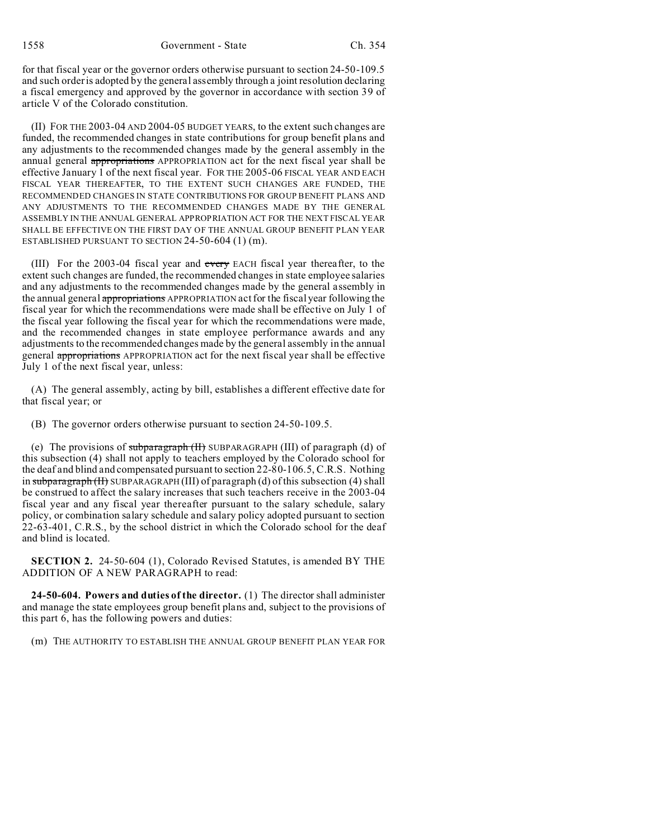1558 Government - State Ch. 354

for that fiscal year or the governor orders otherwise pursuant to section 24-50-109.5 and such order is adopted by the general assembly through a joint resolution declaring a fiscal emergency and approved by the governor in accordance with section 39 of article V of the Colorado constitution.

(II) FOR THE 2003-04 AND 2004-05 BUDGET YEARS, to the extent such changes are funded, the recommended changes in state contributions for group benefit plans and any adjustments to the recommended changes made by the general assembly in the annual general appropriations APPROPRIATION act for the next fiscal year shall be effective January 1 of the next fiscal year. FOR THE 2005-06 FISCAL YEAR AND EACH FISCAL YEAR THEREAFTER, TO THE EXTENT SUCH CHANGES ARE FUNDED, THE RECOMMENDED CHANGES IN STATE CONTRIBUTIONS FOR GROUP BENEFIT PLANS AND ANY ADJUSTMENTS TO THE RECOMMENDED CHANGES MADE BY THE GENERAL ASSEMBLY IN THE ANNUAL GENERAL APPROPRIATION ACT FOR THE NEXT FISCAL YEAR SHALL BE EFFECTIVE ON THE FIRST DAY OF THE ANNUAL GROUP BENEFIT PLAN YEAR ESTABLISHED PURSUANT TO SECTION 24-50-604 (1) (m).

(III) For the 2003-04 fiscal year and every EACH fiscal year thereafter, to the extent such changes are funded, the recommended changes in state employee salaries and any adjustments to the recommended changes made by the general assembly in the annual general appropriations APPROPRIATION act for the fiscal year following the fiscal year for which the recommendations were made shall be effective on July 1 of the fiscal year following the fiscal year for which the recommendations were made, and the recommended changes in state employee performance awards and any adjustments to the recommended changes made by the general assembly in the annual general appropriations APPROPRIATION act for the next fiscal year shall be effective July 1 of the next fiscal year, unless:

(A) The general assembly, acting by bill, establishes a different effective date for that fiscal year; or

(B) The governor orders otherwise pursuant to section 24-50-109.5.

(e) The provisions of subparagraph  $(H)$  SUBPARAGRAPH (III) of paragraph (d) of this subsection (4) shall not apply to teachers employed by the Colorado school for the deaf and blind and compensated pursuant to section 22-80-106.5, C.R.S. Nothing in subparagraph (II) SUBPARAGRAPH (III) of paragraph (d) of this subsection (4) shall be construed to affect the salary increases that such teachers receive in the 2003-04 fiscal year and any fiscal year thereafter pursuant to the salary schedule, salary policy, or combination salary schedule and salary policy adopted pursuant to section 22-63-401, C.R.S., by the school district in which the Colorado school for the deaf and blind is located.

**SECTION 2.** 24-50-604 (1), Colorado Revised Statutes, is amended BY THE ADDITION OF A NEW PARAGRAPH to read:

**24-50-604. Powers and duties of the director.** (1) The director shall administer and manage the state employees group benefit plans and, subject to the provisions of this part 6, has the following powers and duties:

(m) THE AUTHORITY TO ESTABLISH THE ANNUAL GROUP BENEFIT PLAN YEAR FOR